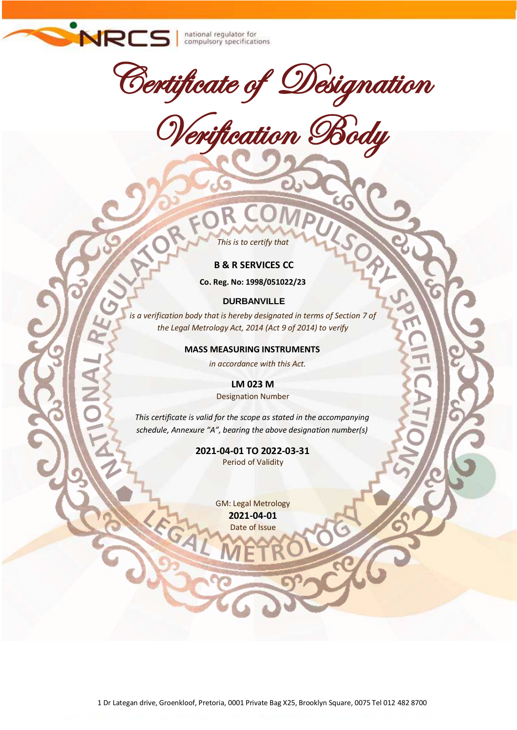

national regulator for<br>compulsory specifications

Certificate of Designation

Verification Body

*This is to certify that*

## **B & R SERVICES CC**

**Co. Reg. No: 1998/051022/23**

#### **DURBANVILLE**

*is a verification body that is hereby designated in terms of Section 7 of the Legal Metrology Act, 2014 (Act 9 of 2014) to verify* 

#### **MASS MEASURING INSTRUMENTS**

*in accordance with this Act.*

**LM 023 M** Designation Number

*This certificate is valid for the scope as stated in the accompanying schedule, Annexure "A", bearing the above designation number(s)*

> **2021-04-01 TO 2022-03-31** Period of Validity

> > GM: Legal Metrology **2021-04-01** Date of Issue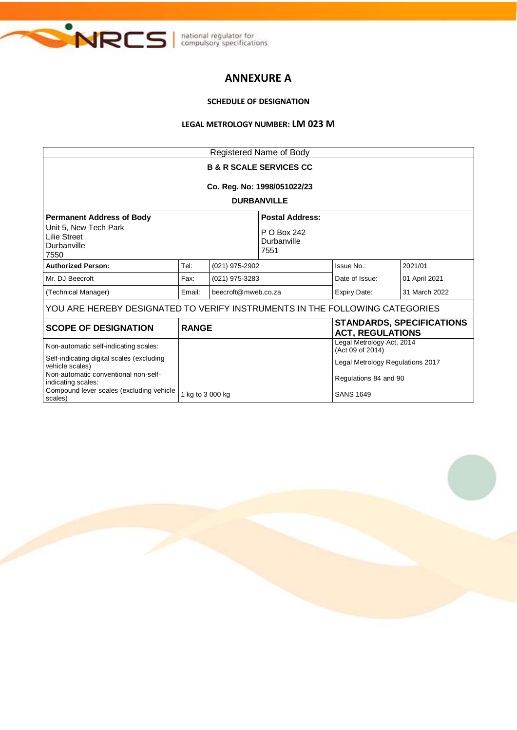

# **ANNEXURE A**

## **SCHEDULE OF DESIGNATION**

#### **LEGAL METROLOGY NUMBER: LM 023 M**

| Registered Name of Body                                                                                                                                                |                               |                                    |                |                                                           |                                  |
|------------------------------------------------------------------------------------------------------------------------------------------------------------------------|-------------------------------|------------------------------------|----------------|-----------------------------------------------------------|----------------------------------|
| <b>B &amp; R SCALE SERVICES CC</b>                                                                                                                                     |                               |                                    |                |                                                           |                                  |
| Co. Reg. No: 1998/051022/23                                                                                                                                            |                               |                                    |                |                                                           |                                  |
| <b>DURBANVILLE</b>                                                                                                                                                     |                               |                                    |                |                                                           |                                  |
| <b>Permanent Address of Body</b><br><b>Postal Address:</b>                                                                                                             |                               |                                    |                |                                                           |                                  |
| Unit 5, New Tech Park<br><b>Lilie Street</b><br>Durbanville<br>7550                                                                                                    |                               | P O Box 242<br>Durbanville<br>7551 |                |                                                           |                                  |
| <b>Authorized Person:</b>                                                                                                                                              | Tel:                          | (021) 975-2902                     |                | Issue No.:                                                | 2021/01                          |
| Mr. DJ Beecroft                                                                                                                                                        | Fax:<br>(021) 975-3283        |                                    | Date of Issue: | 01 April 2021                                             |                                  |
| (Technical Manager)                                                                                                                                                    | beecroft@mweb.co.za<br>Email: |                                    | Expiry Date:   | 31 March 2022                                             |                                  |
| YOU ARE HEREBY DESIGNATED TO VERIFY INSTRUMENTS IN THE FOLLOWING CATEGORIES                                                                                            |                               |                                    |                |                                                           |                                  |
| <b>SCOPE OF DESIGNATION</b>                                                                                                                                            | <b>RANGE</b>                  |                                    |                | <b>ACT, REGULATIONS</b>                                   | <b>STANDARDS, SPECIFICATIONS</b> |
| Non-automatic self-indicating scales:                                                                                                                                  |                               |                                    |                | Legal Metrology Act, 2014<br>(Act 09 of 2014)             |                                  |
| Self-indicating digital scales (excluding<br>vehicle scales)<br>Non-automatic conventional non-self-<br>indicating scales:<br>Compound lever scales (excluding vehicle |                               |                                    |                | Legal Metrology Regulations 2017<br>Regulations 84 and 90 |                                  |
| scales)                                                                                                                                                                | 1 kg to 3 000 kg              |                                    |                | <b>SANS 1649</b>                                          |                                  |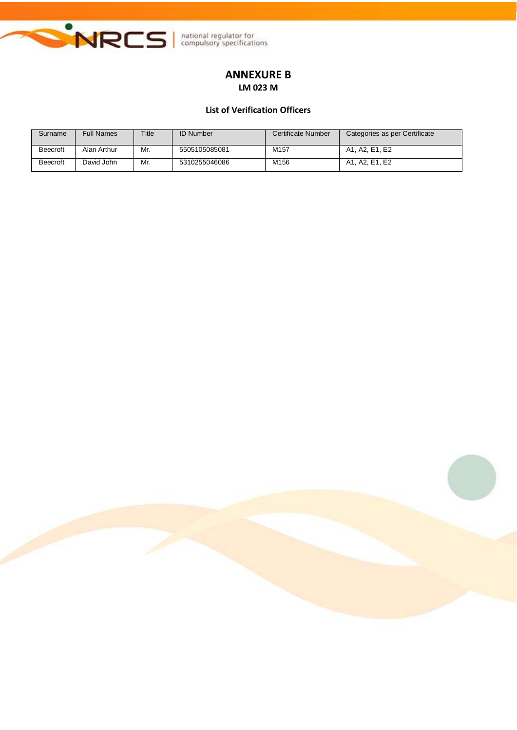

# **ANNEXURE B LM 023 M**

## **List of Verification Officers**

| Surname         | <b>Full Names</b> | Title | <b>ID Number</b> | Certificate Number | Categories as per Certificate |
|-----------------|-------------------|-------|------------------|--------------------|-------------------------------|
| <b>Beecroft</b> | Alan Arthur       | Mr.   | 5505105085081    | M157               | A1. A2. E1. E2                |
| <b>Beecroft</b> | David John        | Mr.   | 5310255046086    | M156               | A1. A2. E1. E2                |